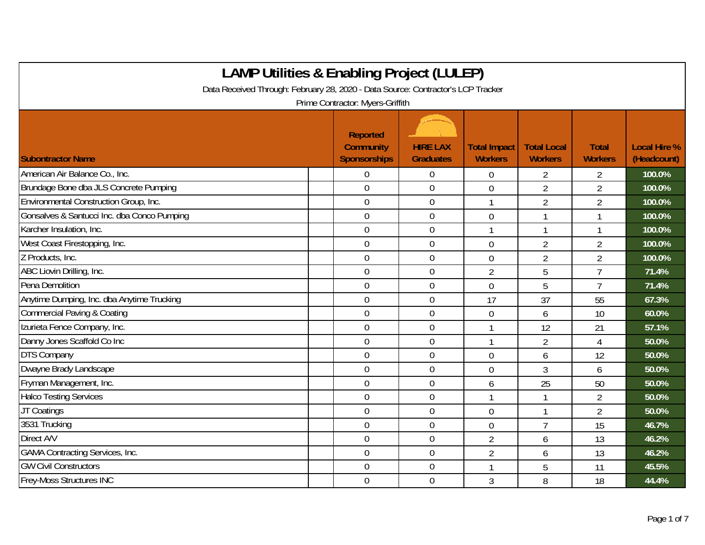| <b>LAMP Utilities &amp; Enabling Project (LULEP)</b>                                                                 |                  |                  |                |                |                |        |  |  |  |
|----------------------------------------------------------------------------------------------------------------------|------------------|------------------|----------------|----------------|----------------|--------|--|--|--|
| Data Received Through: February 28, 2020 - Data Source: Contractor's LCP Tracker<br>Prime Contractor: Myers-Griffith |                  |                  |                |                |                |        |  |  |  |
|                                                                                                                      |                  |                  |                |                |                |        |  |  |  |
| American Air Balance Co., Inc.                                                                                       | 0                | $\mathbf 0$      | $\mathbf 0$    | $\overline{2}$ | $\overline{2}$ | 100.0% |  |  |  |
| Brundage Bone dba JLS Concrete Pumping                                                                               | $\theta$         | $\mathbf 0$      | $\overline{0}$ | $\overline{2}$ | $\overline{2}$ | 100.0% |  |  |  |
| Environmental Construction Group, Inc.                                                                               | $\overline{0}$   | $\mathbf 0$      | $\mathbf{1}$   | $\overline{2}$ | $\overline{2}$ | 100.0% |  |  |  |
| Gonsalves & Santucci Inc. dba Conco Pumping                                                                          | $\mathbf 0$      | $\mathbf 0$      | $\overline{0}$ | 1              |                | 100.0% |  |  |  |
| Karcher Insulation, Inc.                                                                                             | $\mathbf 0$      | $\mathbf 0$      | 1              | $\mathbf{1}$   | 1              | 100.0% |  |  |  |
| West Coast Firestopping, Inc.                                                                                        | $\boldsymbol{0}$ | $\boldsymbol{0}$ | $\mathbf 0$    | $\overline{2}$ | $\overline{2}$ | 100.0% |  |  |  |
| Z Products, Inc.                                                                                                     | $\mathbf 0$      | $\boldsymbol{0}$ | $\mathbf 0$    | $\overline{2}$ | $\overline{2}$ | 100.0% |  |  |  |
| ABC Liovin Drilling, Inc.                                                                                            | $\overline{0}$   | $\mathbf 0$      | $\overline{2}$ | 5              | $\overline{7}$ | 71.4%  |  |  |  |
| Pena Demolition                                                                                                      | $\theta$         | $\overline{0}$   | $\overline{0}$ | 5              | $\overline{7}$ | 71.4%  |  |  |  |
| Anytime Dumping, Inc. dba Anytime Trucking                                                                           | $\overline{0}$   | $\mathbf 0$      | 17             | 37             | 55             | 67.3%  |  |  |  |
| Commercial Paving & Coating                                                                                          | $\mathbf 0$      | $\boldsymbol{0}$ | $\mathbf 0$    | 6              | 10             | 60.0%  |  |  |  |
| Izurieta Fence Company, Inc.                                                                                         | $\mathbf 0$      | $\mathbf 0$      | $\mathbf{1}$   | 12             | 21             | 57.1%  |  |  |  |
| Danny Jones Scaffold Co Inc                                                                                          | $\mathbf 0$      | $\mathbf 0$      | $\mathbf{1}$   | $\overline{2}$ | $\overline{4}$ | 50.0%  |  |  |  |
| <b>DTS Company</b>                                                                                                   | $\mathbf 0$      | $\overline{0}$   | $\mathbf 0$    | 6              | 12             | 50.0%  |  |  |  |
| Dwayne Brady Landscape                                                                                               | $\mathbf 0$      | $\boldsymbol{0}$ | $\overline{0}$ | 3              | 6              | 50.0%  |  |  |  |
| Fryman Management, Inc.                                                                                              | $\theta$         | $\overline{0}$   | 6              | 25             | 50             | 50.0%  |  |  |  |
| <b>Halco Testing Services</b>                                                                                        | $\overline{0}$   | $\mathbf 0$      |                |                | $\overline{2}$ | 50.0%  |  |  |  |
| JT Coatings                                                                                                          | $\overline{0}$   | $\mathbf 0$      | $\overline{0}$ | 1              | $\overline{2}$ | 50.0%  |  |  |  |
| 3531 Trucking                                                                                                        | $\mathbf 0$      | $\mathbf 0$      | $\mathbf 0$    | $\overline{7}$ | 15             | 46.7%  |  |  |  |
| Direct A/V                                                                                                           | $\boldsymbol{0}$ | $\boldsymbol{0}$ | $\overline{2}$ | 6              | 13             | 46.2%  |  |  |  |
| <b>GAMA Contracting Services, Inc.</b>                                                                               | $\mathbf 0$      | $\mathbf 0$      | $\overline{2}$ | 6              | 13             | 46.2%  |  |  |  |
| <b>GW Civil Constructors</b>                                                                                         | $\overline{0}$   | $\boldsymbol{0}$ | 1              | 5              | 11             | 45.5%  |  |  |  |
| Frey-Moss Structures INC                                                                                             | $\overline{0}$   | $\overline{0}$   | 3              | 8              | 18             | 44.4%  |  |  |  |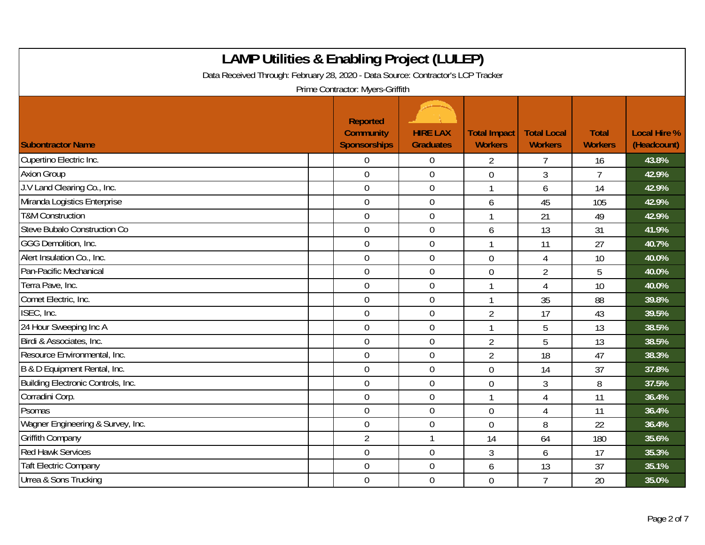| <b>LAMP Utilities &amp; Enabling Project (LULEP)</b><br>Data Received Through: February 28, 2020 - Data Source: Contractor's LCP Tracker |                                                     |                                     |                                       |                                      |                                |                                    |  |  |  |
|------------------------------------------------------------------------------------------------------------------------------------------|-----------------------------------------------------|-------------------------------------|---------------------------------------|--------------------------------------|--------------------------------|------------------------------------|--|--|--|
| Prime Contractor: Myers-Griffith                                                                                                         |                                                     |                                     |                                       |                                      |                                |                                    |  |  |  |
| <b>Subontractor Name</b>                                                                                                                 | Reported<br><b>Community</b><br><b>Sponsorships</b> | <b>HIRE LAX</b><br><b>Graduates</b> | <b>Total Impact</b><br><b>Workers</b> | <b>Total Local</b><br><b>Workers</b> | <b>Total</b><br><b>Workers</b> | <b>Local Hire %</b><br>(Headcount) |  |  |  |
| Cupertino Electric Inc.                                                                                                                  | 0                                                   | $\boldsymbol{0}$                    | $\overline{2}$                        | 7                                    | 16                             | 43.8%                              |  |  |  |
| <b>Axion Group</b>                                                                                                                       | $\overline{0}$                                      | $\overline{0}$                      | $\overline{0}$                        | 3                                    | $\overline{7}$                 | 42.9%                              |  |  |  |
| J.V Land Clearing Co., Inc.                                                                                                              | $\mathbf 0$                                         | $\boldsymbol{0}$                    |                                       | 6                                    | 14                             | 42.9%                              |  |  |  |
| Miranda Logistics Enterprise                                                                                                             | $\boldsymbol{0}$                                    | $\boldsymbol{0}$                    | 6                                     | 45                                   | 105                            | 42.9%                              |  |  |  |
| <b>T&amp;M</b> Construction                                                                                                              | $\overline{0}$                                      | $\overline{0}$                      |                                       | 21                                   | 49                             | 42.9%                              |  |  |  |
| Steve Bubalo Construction Co                                                                                                             | $\overline{0}$                                      | $\mathbf 0$                         | 6                                     | 13                                   | 31                             | 41.9%                              |  |  |  |
| GGG Demolition, Inc.                                                                                                                     | $\mathbf 0$                                         | $\mathbf 0$                         |                                       | 11                                   | 27                             | 40.7%                              |  |  |  |
| Alert Insulation Co., Inc.                                                                                                               | $\overline{0}$                                      | $\mathbf 0$                         | $\overline{0}$                        | 4                                    | 10                             | 40.0%                              |  |  |  |
| Pan-Pacific Mechanical                                                                                                                   | $\boldsymbol{0}$                                    | $\boldsymbol{0}$                    | $\mathbf 0$                           | $\overline{2}$                       | 5                              | 40.0%                              |  |  |  |
| Terra Pave, Inc.                                                                                                                         | $\overline{0}$                                      | $\boldsymbol{0}$                    | $\mathbf{1}$                          | $\overline{4}$                       | 10                             | 40.0%                              |  |  |  |
| Comet Electric, Inc.                                                                                                                     | $\mathbf 0$                                         | $\mathbf 0$                         | $\mathbf{1}$                          | 35                                   | 88                             | 39.8%                              |  |  |  |
| ISEC, Inc.                                                                                                                               | $\overline{0}$                                      | $\mathbf 0$                         | $\overline{2}$                        | 17                                   | 43                             | 39.5%                              |  |  |  |
| 24 Hour Sweeping Inc A                                                                                                                   | $\overline{0}$                                      | $\mathbf 0$                         |                                       | 5                                    | 13                             | 38.5%                              |  |  |  |
| Birdi & Associates, Inc.                                                                                                                 | $\overline{0}$                                      | $\mathbf 0$                         | $\overline{2}$                        | 5                                    | 13                             | 38.5%                              |  |  |  |
| Resource Environmental, Inc.                                                                                                             | $\overline{0}$                                      | $\boldsymbol{0}$                    | $\overline{2}$                        | 18                                   | 47                             | 38.3%                              |  |  |  |
| B & D Equipment Rental, Inc.                                                                                                             | $\overline{0}$                                      | $\mathbf 0$                         | $\overline{0}$                        | 14                                   | 37                             | 37.8%                              |  |  |  |
| Building Electronic Controls, Inc.                                                                                                       | $\mathbf 0$                                         | $\boldsymbol{0}$                    | $\overline{0}$                        | 3                                    | 8                              | 37.5%                              |  |  |  |
| Corradini Corp.                                                                                                                          | $\overline{0}$                                      | $\mathbf 0$                         |                                       | 4                                    | 11                             | 36.4%                              |  |  |  |
| Psomas                                                                                                                                   | $\overline{0}$                                      | $\mathbf 0$                         | $\overline{0}$                        | $\overline{4}$                       | 11                             | 36.4%                              |  |  |  |
| Wagner Engineering & Survey, Inc.                                                                                                        | $\mathbf 0$                                         | $\boldsymbol{0}$                    | $\mathbf 0$                           | 8                                    | 22                             | 36.4%                              |  |  |  |
| <b>Griffith Company</b>                                                                                                                  | $\overline{2}$                                      | $\mathbf{1}$                        | 14                                    | 64                                   | 180                            | 35.6%                              |  |  |  |
| <b>Red Hawk Services</b>                                                                                                                 | $\overline{0}$                                      | $\overline{0}$                      | 3                                     | 6                                    | 17                             | 35.3%                              |  |  |  |
| <b>Taft Electric Company</b>                                                                                                             | $\boldsymbol{0}$                                    | $\boldsymbol{0}$                    | 6                                     | 13                                   | 37                             | 35.1%                              |  |  |  |
| Urrea & Sons Trucking                                                                                                                    | $\mathbf 0$                                         | $\mathbf 0$                         | $\overline{0}$                        | $\overline{7}$                       | 20                             | 35.0%                              |  |  |  |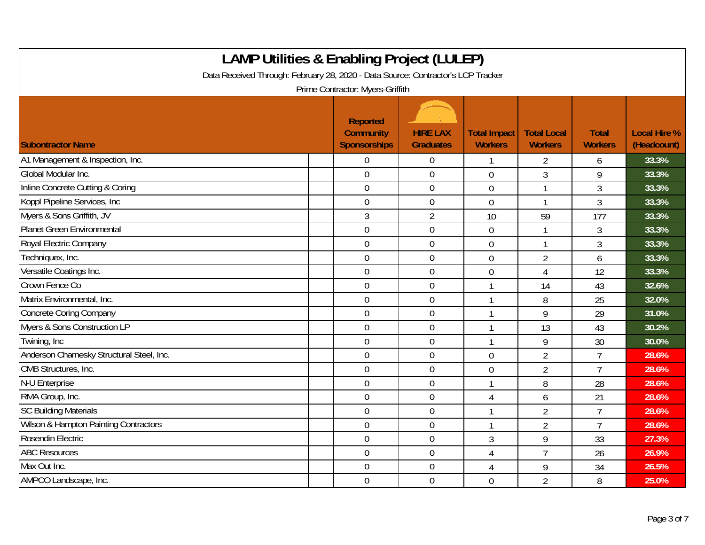| <b>LAMP Utilities &amp; Enabling Project (LULEP)</b><br>Data Received Through: February 28, 2020 - Data Source: Contractor's LCP Tracker<br>Prime Contractor: Myers-Griffith |                                                            |                                     |                                       |                                      |                                |                                    |  |  |
|------------------------------------------------------------------------------------------------------------------------------------------------------------------------------|------------------------------------------------------------|-------------------------------------|---------------------------------------|--------------------------------------|--------------------------------|------------------------------------|--|--|
| <b>Subontractor Name</b>                                                                                                                                                     | <b>Reported</b><br><b>Community</b><br><b>Sponsorships</b> | <b>HIRE LAX</b><br><b>Graduates</b> | <b>Total Impact</b><br><b>Workers</b> | <b>Total Local</b><br><b>Workers</b> | <b>Total</b><br><b>Workers</b> | <b>Local Hire %</b><br>(Headcount) |  |  |
| A1 Management & Inspection, Inc.                                                                                                                                             | $\Omega$                                                   | $\boldsymbol{0}$                    |                                       | 2                                    | 6                              | 33.3%                              |  |  |
| Global Modular Inc.                                                                                                                                                          | $\overline{0}$                                             | $\mathbf 0$                         | $\overline{0}$                        | 3                                    | 9                              | 33.3%                              |  |  |
| Inline Concrete Cutting & Coring                                                                                                                                             | $\mathbf 0$                                                | $\boldsymbol{0}$                    | $\overline{0}$                        | 1                                    | 3                              | 33.3%                              |  |  |
| Koppl Pipeline Services, Inc.                                                                                                                                                | $\mathbf 0$                                                | $\boldsymbol{0}$                    | $\mathbf 0$                           | -1                                   | $\overline{3}$                 | 33.3%                              |  |  |
| Myers & Sons Griffith, JV                                                                                                                                                    | 3                                                          | $\overline{2}$                      | 10                                    | 59                                   | 177                            | 33.3%                              |  |  |
| <b>Planet Green Environmental</b>                                                                                                                                            | $\mathbf 0$                                                | $\mathbf 0$                         | $\overline{0}$                        | 1                                    | 3                              | 33.3%                              |  |  |
| Royal Electric Company                                                                                                                                                       | $\overline{0}$                                             | $\mathbf 0$                         | $\overline{0}$                        | $\mathbf{1}$                         | 3                              | 33.3%                              |  |  |
| Techniquex, Inc.                                                                                                                                                             | $\mathbf 0$                                                | $\boldsymbol{0}$                    | $\mathbf 0$                           | $\overline{2}$                       | 6                              | 33.3%                              |  |  |
| Versatile Coatings Inc.                                                                                                                                                      | $\overline{0}$                                             | $\boldsymbol{0}$                    | $\mathbf 0$                           | $\overline{4}$                       | 12                             | 33.3%                              |  |  |
| Crown Fence Co                                                                                                                                                               | $\mathbf 0$                                                | $\mathbf 0$                         | $\mathbf{1}$                          | 14                                   | 43                             | 32.6%                              |  |  |
| Matrix Environmental, Inc.                                                                                                                                                   | $\overline{0}$                                             | $\overline{0}$                      |                                       | 8                                    | 25                             | 32.0%                              |  |  |
| <b>Concrete Coring Company</b>                                                                                                                                               | $\mathbf 0$                                                | $\boldsymbol{0}$                    |                                       | 9                                    | 29                             | 31.0%                              |  |  |
| Myers & Sons Construction LP                                                                                                                                                 | $\mathbf 0$                                                | $\mathbf 0$                         |                                       | 13                                   | 43                             | 30.2%                              |  |  |
| Twining, Inc                                                                                                                                                                 | $\mathbf 0$                                                | $\mathbf 0$                         |                                       | 9                                    | 30                             | 30.0%                              |  |  |
| Anderson Charnesky Structural Steel, Inc.                                                                                                                                    | $\mathbf 0$                                                | $\mathbf 0$                         | $\overline{0}$                        | $\overline{2}$                       | $\overline{7}$                 | 28.6%                              |  |  |
| CMB Structures, Inc.                                                                                                                                                         | $\mathbf 0$                                                | $\boldsymbol{0}$                    | $\mathbf 0$                           | $\overline{2}$                       | $\overline{7}$                 | 28.6%                              |  |  |
| N-U Enterprise                                                                                                                                                               | $\overline{0}$                                             | $\mathbf 0$                         |                                       | 8                                    | 28                             | 28.6%                              |  |  |
| RMA Group, Inc.                                                                                                                                                              | $\mathbf 0$                                                | $\mathbf 0$                         | 4                                     | 6                                    | 21                             | 28.6%                              |  |  |
| <b>SC Building Materials</b>                                                                                                                                                 | $\overline{0}$                                             | $\mathbf 0$                         |                                       | $\overline{2}$                       | $\overline{7}$                 | 28.6%                              |  |  |
| Wilson & Hampton Painting Contractors                                                                                                                                        | $\mathbf 0$                                                | $\boldsymbol{0}$                    |                                       | $\overline{2}$                       | $\overline{7}$                 | 28.6%                              |  |  |
| Rosendin Electric                                                                                                                                                            | $\mathbf 0$                                                | $\boldsymbol{0}$                    | 3                                     | 9                                    | 33                             | 27.3%                              |  |  |
| <b>ABC Resources</b>                                                                                                                                                         | $\mathbf 0$                                                | $\mathbf 0$                         | $\overline{4}$                        | $\overline{7}$                       | 26                             | 26.9%                              |  |  |
| Max Out Inc.                                                                                                                                                                 | $\overline{0}$                                             | $\mathbf 0$                         | $\overline{4}$                        | 9                                    | 34                             | 26.5%                              |  |  |
| AMPCO Landscape, Inc.                                                                                                                                                        | $\mathbf 0$                                                | $\boldsymbol{0}$                    | $\overline{0}$                        | $\overline{2}$                       | 8                              | 25.0%                              |  |  |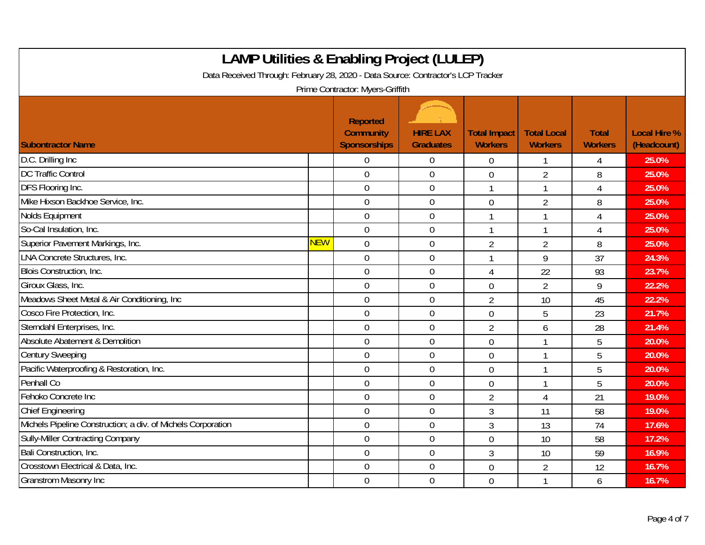| <b>LAMP Utilities &amp; Enabling Project (LULEP)</b><br>Data Received Through: February 28, 2020 - Data Source: Contractor's LCP Tracker<br>Prime Contractor: Myers-Griffith |            |                                                     |                                     |                                       |                                      |                                |                                    |  |
|------------------------------------------------------------------------------------------------------------------------------------------------------------------------------|------------|-----------------------------------------------------|-------------------------------------|---------------------------------------|--------------------------------------|--------------------------------|------------------------------------|--|
| <b>Subontractor Name</b>                                                                                                                                                     |            | Reported<br><b>Community</b><br><b>Sponsorships</b> | <b>HIRE LAX</b><br><b>Graduates</b> | <b>Total Impact</b><br><b>Workers</b> | <b>Total Local</b><br><b>Workers</b> | <b>Total</b><br><b>Workers</b> | <b>Local Hire %</b><br>(Headcount) |  |
| D.C. Drilling Inc                                                                                                                                                            |            | 0                                                   | 0                                   | $\Omega$                              |                                      | 4                              | 25.0%                              |  |
| <b>DC Traffic Control</b>                                                                                                                                                    |            | $\overline{0}$                                      | $\mathbf 0$                         | $\overline{0}$                        | $\overline{2}$                       | 8                              | 25.0%                              |  |
| DFS Flooring Inc.                                                                                                                                                            |            | $\mathbf 0$                                         | $\boldsymbol{0}$                    |                                       | 1                                    | 4                              | 25.0%                              |  |
| Mike Hixson Backhoe Service, Inc.                                                                                                                                            |            | $\mathbf 0$                                         | $\mathbf 0$                         | $\overline{0}$                        | $\overline{2}$                       | 8                              | 25.0%                              |  |
| Nolds Equipment                                                                                                                                                              |            | $\overline{0}$                                      | $\overline{0}$                      |                                       | 1                                    | $\overline{A}$                 | 25.0%                              |  |
| So-Cal Insulation, Inc.                                                                                                                                                      |            | $\mathbf 0$                                         | $\boldsymbol{0}$                    |                                       | 1                                    | 4                              | 25.0%                              |  |
| Superior Pavement Markings, Inc.                                                                                                                                             | <b>NEW</b> | $\overline{0}$                                      | $\mathbf 0$                         | $\overline{2}$                        | $\overline{2}$                       | 8                              | 25.0%                              |  |
| <b>LNA Concrete Structures, Inc.</b>                                                                                                                                         |            | $\overline{0}$                                      | $\overline{0}$                      |                                       | 9                                    | 37                             | 24.3%                              |  |
| Blois Construction, Inc.                                                                                                                                                     |            | $\mathbf 0$                                         | $\boldsymbol{0}$                    | 4                                     | 22                                   | 93                             | 23.7%                              |  |
| Giroux Glass, Inc.                                                                                                                                                           |            | $\overline{0}$                                      | $\mathbf 0$                         | $\overline{0}$                        | $\overline{2}$                       | 9                              | 22.2%                              |  |
| Meadows Sheet Metal & Air Conditioning, Inc.                                                                                                                                 |            | $\overline{0}$                                      | $\overline{0}$                      | $\overline{2}$                        | 10                                   | 45                             | 22.2%                              |  |
| Cosco Fire Protection, Inc.                                                                                                                                                  |            | $\mathbf 0$                                         | $\boldsymbol{0}$                    | $\mathbf 0$                           | 5                                    | 23                             | 21.7%                              |  |
| Sterndahl Enterprises, Inc.                                                                                                                                                  |            | $\mathbf 0$                                         | $\mathbf 0$                         | $\overline{2}$                        | 6                                    | 28                             | 21.4%                              |  |
| Absolute Abatement & Demolition                                                                                                                                              |            | $\overline{0}$                                      | $\mathbf 0$                         | $\overline{0}$                        | 1                                    | 5                              | 20.0%                              |  |
| <b>Century Sweeping</b>                                                                                                                                                      |            | $\boldsymbol{0}$                                    | $\boldsymbol{0}$                    | $\mathbf 0$                           | $\mathbf{1}$                         | 5                              | 20.0%                              |  |
| Pacific Waterproofing & Restoration, Inc.                                                                                                                                    |            | $\mathbf 0$                                         | $\mathbf 0$                         | $\mathbf 0$                           | $\mathbf{1}$                         | 5                              | 20.0%                              |  |
| <b>Penhall Co</b>                                                                                                                                                            |            | $\overline{0}$                                      | $\overline{0}$                      | $\overline{0}$                        | 1                                    | 5                              | 20.0%                              |  |
| Fehoko Concrete Inc                                                                                                                                                          |            | $\overline{0}$                                      | $\boldsymbol{0}$                    | $\overline{2}$                        | 4                                    | 21                             | 19.0%                              |  |
| <b>Chief Engineering</b>                                                                                                                                                     |            | $\mathbf 0$                                         | $\mathbf 0$                         | 3                                     | 11                                   | 58                             | 19.0%                              |  |
| Michels Pipeline Construction; a div. of Michels Corporation                                                                                                                 |            | $\mathbf 0$                                         | $\mathbf 0$                         | $\mathfrak{Z}$                        | 13                                   | 74                             | 17.6%                              |  |
| <b>Sully-Miller Contracting Company</b>                                                                                                                                      |            | $\mathbf 0$                                         | $\mathbf 0$                         | $\mathbf 0$                           | 10                                   | 58                             | 17.2%                              |  |
| Bali Construction, Inc.                                                                                                                                                      |            | $\mathbf 0$                                         | $\mathbf 0$                         | 3                                     | 10                                   | 59                             | 16.9%                              |  |
| Crosstown Electrical & Data, Inc.                                                                                                                                            |            | $\mathbf 0$                                         | $\mathbf 0$                         | $\overline{0}$                        | $\overline{2}$                       | 12                             | 16.7%                              |  |
| <b>Granstrom Masonry Inc</b>                                                                                                                                                 |            | $\overline{0}$                                      | $\mathbf 0$                         | $\overline{0}$                        | $\mathbf{1}$                         | 6                              | 16.7%                              |  |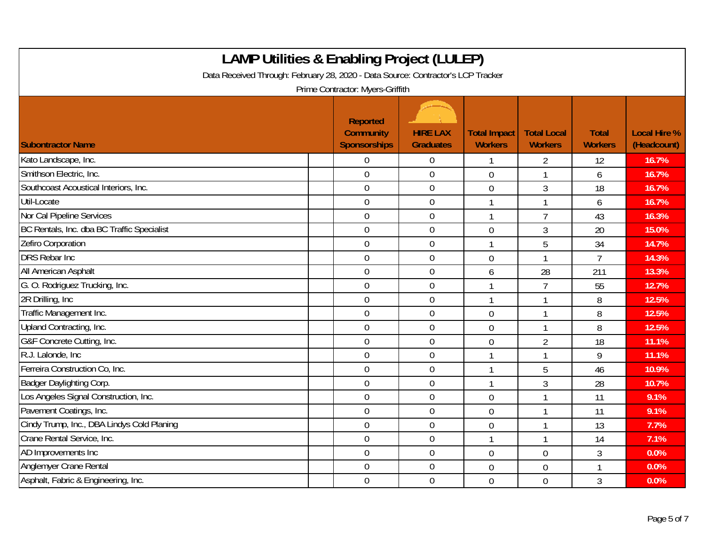| <b>LAMP Utilities &amp; Enabling Project (LULEP)</b><br>Data Received Through: February 28, 2020 - Data Source: Contractor's LCP Tracker<br>Prime Contractor: Myers-Griffith |                                              |                                     |                                       |                                      |                                |                                    |  |  |
|------------------------------------------------------------------------------------------------------------------------------------------------------------------------------|----------------------------------------------|-------------------------------------|---------------------------------------|--------------------------------------|--------------------------------|------------------------------------|--|--|
| <b>Subontractor Name</b>                                                                                                                                                     | Reported<br><b>Community</b><br>Sponsorships | <b>HIRE LAX</b><br><b>Graduates</b> | <b>Total Impact</b><br><b>Workers</b> | <b>Total Local</b><br><b>Workers</b> | <b>Total</b><br><b>Workers</b> | <b>Local Hire %</b><br>(Headcount) |  |  |
| Kato Landscape, Inc.                                                                                                                                                         | $\Omega$                                     | $\overline{0}$                      | $\mathbf{1}$                          | $\overline{2}$                       | 12                             | 16.7%                              |  |  |
| Smithson Electric, Inc.                                                                                                                                                      | $\overline{0}$                               | $\overline{0}$                      | $\overline{0}$                        | 1                                    | 6                              | 16.7%                              |  |  |
| Southcoast Acoustical Interiors, Inc.                                                                                                                                        | $\mathbf 0$                                  | $\boldsymbol{0}$                    | $\mathbf 0$                           | 3                                    | 18                             | 16.7%                              |  |  |
| Util-Locate                                                                                                                                                                  | $\overline{0}$                               | $\overline{0}$                      | $\mathbf{1}$                          | $\mathbf{1}$                         | 6                              | 16.7%                              |  |  |
| Nor Cal Pipeline Services                                                                                                                                                    | $\overline{0}$                               | $\mathbf 0$                         | $\mathbf{1}$                          | $\overline{7}$                       | 43                             | 16.3%                              |  |  |
| BC Rentals, Inc. dba BC Traffic Specialist                                                                                                                                   | $\boldsymbol{0}$                             | $\boldsymbol{0}$                    | $\overline{0}$                        | 3                                    | 20                             | 15.0%                              |  |  |
| Zefiro Corporation                                                                                                                                                           | $\overline{0}$                               | $\overline{0}$                      | $\mathbf{1}$                          | 5                                    | 34                             | 14.7%                              |  |  |
| <b>DRS Rebar Inc</b>                                                                                                                                                         | $\overline{0}$                               | $\mathbf 0$                         | $\overline{0}$                        | 1                                    | $\overline{7}$                 | 14.3%                              |  |  |
| All American Asphalt                                                                                                                                                         | $\mathbf 0$                                  | $\boldsymbol{0}$                    | 6                                     | 28                                   | 211                            | 13.3%                              |  |  |
| G. O. Rodriguez Trucking, Inc.                                                                                                                                               | $\boldsymbol{0}$                             | $\boldsymbol{0}$                    | $\mathbf{1}$                          | $\overline{7}$                       | 55                             | 12.7%                              |  |  |
| 2R Drilling, Inc.                                                                                                                                                            | $\overline{0}$                               | $\mathbf 0$                         | $\mathbf{1}$                          | 1                                    | 8                              | 12.5%                              |  |  |
| Traffic Management Inc.                                                                                                                                                      | $\overline{0}$                               | $\mathbf 0$                         | $\overline{0}$                        |                                      | 8                              | 12.5%                              |  |  |
| Upland Contracting, Inc.                                                                                                                                                     | $\boldsymbol{0}$                             | $\mathbf 0$                         | $\overline{0}$                        | $\mathbf{1}$                         | 8                              | 12.5%                              |  |  |
| G&F Concrete Cutting, Inc.                                                                                                                                                   | $\mathbf 0$                                  | $\mathbf 0$                         | $\overline{0}$                        | $\overline{2}$                       | 18                             | 11.1%                              |  |  |
| R.J. Lalonde, Inc.                                                                                                                                                           | $\mathbf 0$                                  | $\boldsymbol{0}$                    | $\mathbf{1}$                          | 1                                    | 9                              | 11.1%                              |  |  |
| Ferreira Construction Co, Inc.                                                                                                                                               | $\mathbf 0$                                  | $\mathbf 0$                         | $\mathbf{1}$                          | 5                                    | 46                             | 10.9%                              |  |  |
| Badger Daylighting Corp.                                                                                                                                                     | $\mathbf 0$                                  | $\mathbf 0$                         | $\mathbf{1}$                          | 3                                    | 28                             | 10.7%                              |  |  |
| Los Angeles Signal Construction, Inc.                                                                                                                                        | $\mathbf 0$                                  | $\mathbf 0$                         | $\overline{0}$                        |                                      | 11                             | 9.1%                               |  |  |
| Pavement Coatings, Inc.                                                                                                                                                      | $\mathbf 0$                                  | $\mathbf 0$                         | $\mathbf 0$                           | $\mathbf{1}$                         | 11                             | 9.1%                               |  |  |
| Cindy Trump, Inc., DBA Lindys Cold Planing                                                                                                                                   | $\overline{0}$                               | $\boldsymbol{0}$                    | $\mathbf 0$                           | $\mathbf{1}$                         | 13                             | 7.7%                               |  |  |
| Crane Rental Service, Inc.                                                                                                                                                   | $\mathbf 0$                                  | $\boldsymbol{0}$                    | $\mathbf{1}$                          | 1                                    | 14                             | 7.1%                               |  |  |
| AD Improvements Inc                                                                                                                                                          | $\mathbf 0$                                  | $\mathbf 0$                         | $\overline{0}$                        | $\overline{0}$                       | 3                              | 0.0%                               |  |  |
| Anglemyer Crane Rental                                                                                                                                                       | $\overline{0}$                               | $\mathbf 0$                         | $\overline{0}$                        | $\overline{0}$                       | $\mathbf{1}$                   | 0.0%                               |  |  |
| Asphalt, Fabric & Engineering, Inc.                                                                                                                                          | $\mathbf 0$                                  | $\mathbf 0$                         | $\mathbf 0$                           | $\boldsymbol{0}$                     | 3                              | 0.0%                               |  |  |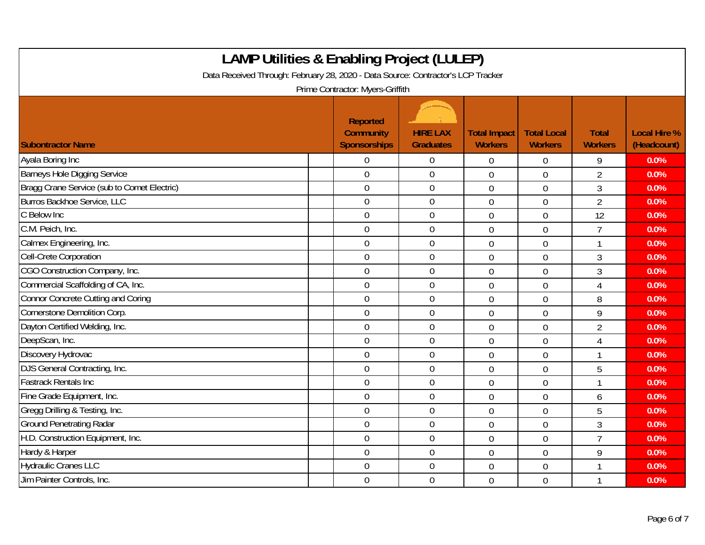| <b>LAMP Utilities &amp; Enabling Project (LULEP)</b><br>Data Received Through: February 28, 2020 - Data Source: Contractor's LCP Tracker<br>Prime Contractor: Myers-Griffith |                                                            |                                     |                                       |                                      |                                |                                    |  |  |
|------------------------------------------------------------------------------------------------------------------------------------------------------------------------------|------------------------------------------------------------|-------------------------------------|---------------------------------------|--------------------------------------|--------------------------------|------------------------------------|--|--|
| <b>Subontractor Name</b>                                                                                                                                                     | <b>Reported</b><br><b>Community</b><br><b>Sponsorships</b> | <b>HIRE LAX</b><br><b>Graduates</b> | <b>Total Impact</b><br><b>Workers</b> | <b>Total Local</b><br><b>Workers</b> | <b>Total</b><br><b>Workers</b> | <b>Local Hire %</b><br>(Headcount) |  |  |
| Ayala Boring Inc                                                                                                                                                             | $\overline{0}$                                             | $\overline{0}$                      | $\boldsymbol{0}$                      | $\boldsymbol{0}$                     | 9                              | 0.0%                               |  |  |
| Barneys Hole Digging Service                                                                                                                                                 | $\mathbf 0$                                                | $\mathbf 0$                         | $\overline{0}$                        | $\overline{0}$                       | $\overline{2}$                 | 0.0%                               |  |  |
| Bragg Crane Service (sub to Comet Electric)                                                                                                                                  | $\mathbf 0$                                                | $\boldsymbol{0}$                    | $\mathbf 0$                           | $\overline{0}$                       | 3                              | 0.0%                               |  |  |
| Burros Backhoe Service, LLC                                                                                                                                                  | $\mathbf 0$                                                | $\pmb{0}$                           | $\mathbf 0$                           | $\mathbf 0$                          | $\overline{2}$                 | 0.0%                               |  |  |
| C Below Inc                                                                                                                                                                  | $\mathbf 0$                                                | $\mathbf 0$                         | $\overline{0}$                        | $\overline{0}$                       | 12                             | 0.0%                               |  |  |
| C.M. Peich, Inc.                                                                                                                                                             | $\mathbf 0$                                                | $\mathbf 0$                         | $\overline{0}$                        | $\overline{0}$                       | $\overline{7}$                 | 0.0%                               |  |  |
| Calmex Engineering, Inc.                                                                                                                                                     | $\overline{0}$                                             | $\overline{0}$                      | $\mathbf 0$                           | $\mathbf 0$                          | 1                              | 0.0%                               |  |  |
| Cell-Crete Corporation                                                                                                                                                       | $\mathbf 0$                                                | $\mathbf 0$                         | $\overline{0}$                        | $\mathbf 0$                          | 3                              | 0.0%                               |  |  |
| CGO Construction Company, Inc.                                                                                                                                               | $\mathbf 0$                                                | $\boldsymbol{0}$                    | $\mathbf 0$                           | $\overline{0}$                       | 3                              | 0.0%                               |  |  |
| Commercial Scaffolding of CA, Inc.                                                                                                                                           | $\mathbf 0$                                                | $\overline{0}$                      | $\overline{0}$                        | $\overline{0}$                       | 4                              | 0.0%                               |  |  |
| Connor Concrete Cutting and Coring                                                                                                                                           | $\overline{0}$                                             | $\mathbf 0$                         | $\overline{0}$                        | $\overline{0}$                       | 8                              | 0.0%                               |  |  |
| Cornerstone Demolition Corp.                                                                                                                                                 | $\overline{0}$                                             | $\overline{0}$                      | $\overline{0}$                        | $\overline{0}$                       | 9                              | 0.0%                               |  |  |
| Dayton Certified Welding, Inc.                                                                                                                                               | $\mathbf 0$                                                | $\boldsymbol{0}$                    | $\mathbf 0$                           | $\mathbf 0$                          | $\overline{2}$                 | 0.0%                               |  |  |
| DeepScan, Inc.                                                                                                                                                               | $\mathbf 0$                                                | $\mathbf 0$                         | $\overline{0}$                        | $\overline{0}$                       | 4                              | 0.0%                               |  |  |
| Discovery Hydrovac                                                                                                                                                           | $\mathbf 0$                                                | $\mathbf 0$                         | $\overline{0}$                        | $\overline{0}$                       |                                | 0.0%                               |  |  |
| DJS General Contracting, Inc.                                                                                                                                                | $\mathbf 0$                                                | $\mathbf 0$                         | $\overline{0}$                        | $\overline{0}$                       | 5                              | 0.0%                               |  |  |
| <b>Fastrack Rentals Inc</b>                                                                                                                                                  | $\overline{0}$                                             | $\mathbf 0$                         | $\mathbf 0$                           | $\mathbf 0$                          | 1                              | 0.0%                               |  |  |
| Fine Grade Equipment, Inc.                                                                                                                                                   | $\mathbf 0$                                                | $\mathbf 0$                         | $\overline{0}$                        | $\overline{0}$                       | 6                              | 0.0%                               |  |  |
| Gregg Drilling & Testing, Inc.                                                                                                                                               | $\mathbf 0$                                                | $\overline{0}$                      | $\overline{0}$                        | $\overline{0}$                       | 5                              | 0.0%                               |  |  |
| <b>Ground Penetrating Radar</b>                                                                                                                                              | $\mathbf 0$                                                | $\pmb{0}$                           | $\mathbf 0$                           | $\mathbf 0$                          | 3                              | 0.0%                               |  |  |
| H.D. Construction Equipment, Inc.                                                                                                                                            | $\mathbf 0$                                                | $\mathbf 0$                         | $\overline{0}$                        | $\overline{0}$                       | $\overline{7}$                 | 0.0%                               |  |  |
| Hardy & Harper                                                                                                                                                               | $\overline{0}$                                             | $\overline{0}$                      | $\overline{0}$                        | $\overline{0}$                       | 9                              | 0.0%                               |  |  |
| <b>Hydraulic Cranes LLC</b>                                                                                                                                                  | $\boldsymbol{0}$                                           | $\mathbf 0$                         | $\mathbf 0$                           | $\mathbf 0$                          | 1                              | 0.0%                               |  |  |
| Jim Painter Controls, Inc.                                                                                                                                                   | $\mathbf 0$                                                | $\mathbf 0$                         | $\overline{0}$                        | $\overline{0}$                       |                                | 0.0%                               |  |  |